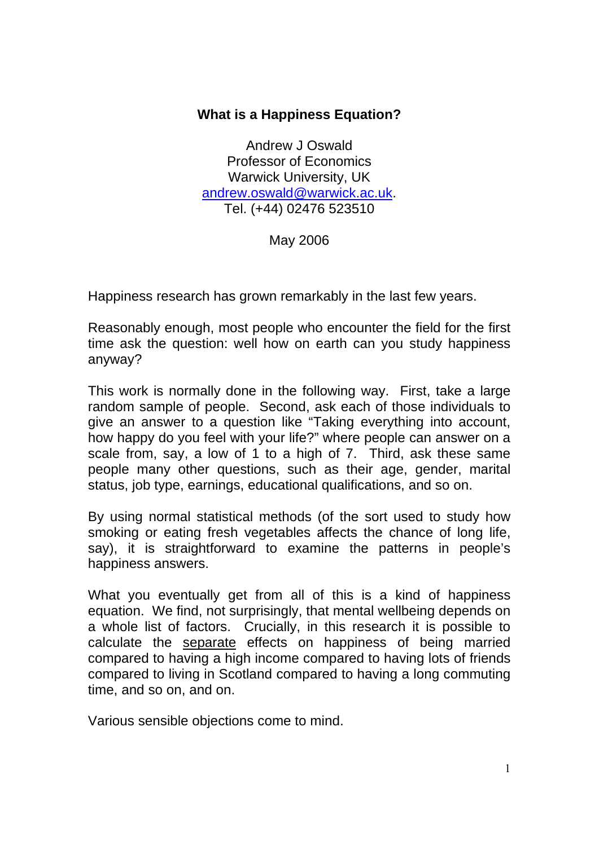## **What is a Happiness Equation?**

Andrew J Oswald Professor of Economics Warwick University, UK andrew.oswald@warwick.ac.uk. Tel. (+44) 02476 523510

May 2006

Happiness research has grown remarkably in the last few years.

Reasonably enough, most people who encounter the field for the first time ask the question: well how on earth can you study happiness anyway?

This work is normally done in the following way. First, take a large random sample of people. Second, ask each of those individuals to give an answer to a question like "Taking everything into account, how happy do you feel with your life?" where people can answer on a scale from, say, a low of 1 to a high of 7. Third, ask these same people many other questions, such as their age, gender, marital status, job type, earnings, educational qualifications, and so on.

By using normal statistical methods (of the sort used to study how smoking or eating fresh vegetables affects the chance of long life, say), it is straightforward to examine the patterns in people's happiness answers.

What you eventually get from all of this is a kind of happiness equation. We find, not surprisingly, that mental wellbeing depends on a whole list of factors. Crucially, in this research it is possible to calculate the separate effects on happiness of being married compared to having a high income compared to having lots of friends compared to living in Scotland compared to having a long commuting time, and so on, and on.

Various sensible objections come to mind.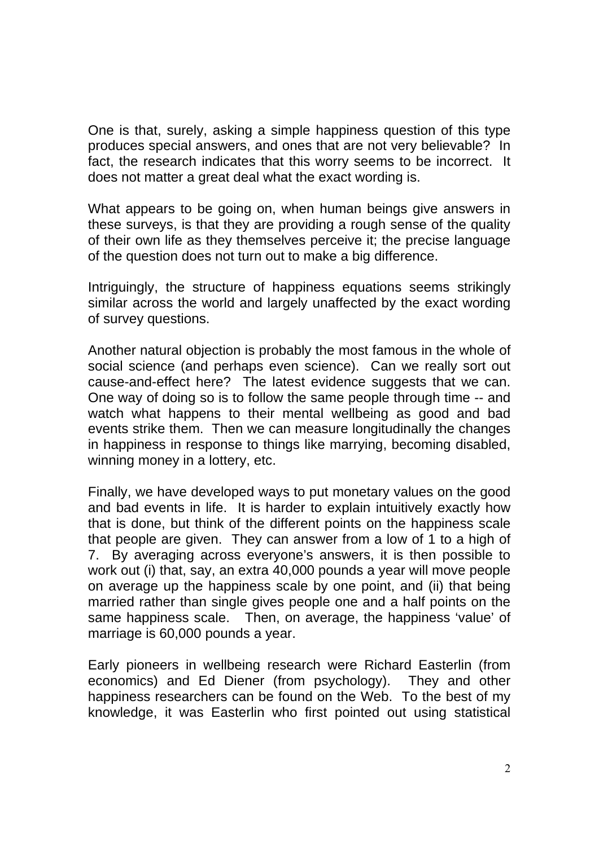One is that, surely, asking a simple happiness question of this type produces special answers, and ones that are not very believable? In fact, the research indicates that this worry seems to be incorrect. It does not matter a great deal what the exact wording is.

What appears to be going on, when human beings give answers in these surveys, is that they are providing a rough sense of the quality of their own life as they themselves perceive it; the precise language of the question does not turn out to make a big difference.

Intriguingly, the structure of happiness equations seems strikingly similar across the world and largely unaffected by the exact wording of survey questions.

Another natural objection is probably the most famous in the whole of social science (and perhaps even science). Can we really sort out cause-and-effect here? The latest evidence suggests that we can. One way of doing so is to follow the same people through time -- and watch what happens to their mental wellbeing as good and bad events strike them. Then we can measure longitudinally the changes in happiness in response to things like marrying, becoming disabled, winning money in a lottery, etc.

Finally, we have developed ways to put monetary values on the good and bad events in life. It is harder to explain intuitively exactly how that is done, but think of the different points on the happiness scale that people are given. They can answer from a low of 1 to a high of 7. By averaging across everyone's answers, it is then possible to work out (i) that, say, an extra 40,000 pounds a year will move people on average up the happiness scale by one point, and (ii) that being married rather than single gives people one and a half points on the same happiness scale. Then, on average, the happiness 'value' of marriage is 60,000 pounds a year.

Early pioneers in wellbeing research were Richard Easterlin (from economics) and Ed Diener (from psychology). They and other happiness researchers can be found on the Web. To the best of my knowledge, it was Easterlin who first pointed out using statistical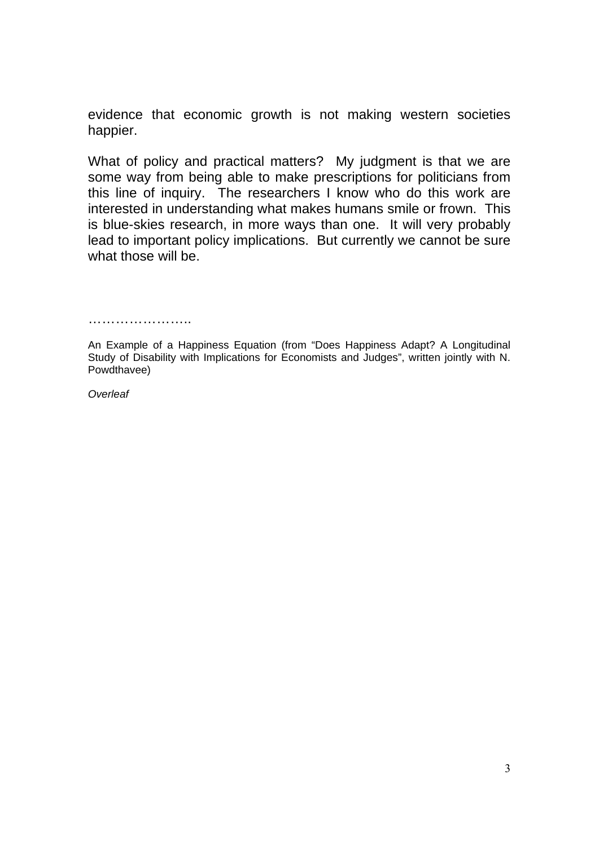evidence that economic growth is not making western societies happier.

What of policy and practical matters? My judgment is that we are some way from being able to make prescriptions for politicians from this line of inquiry. The researchers I know who do this work are interested in understanding what makes humans smile or frown. This is blue-skies research, in more ways than one. It will very probably lead to important policy implications. But currently we cannot be sure what those will be.

………………………

*Overleaf* 

An Example of a Happiness Equation (from "Does Happiness Adapt? A Longitudinal Study of Disability with Implications for Economists and Judges", written jointly with N. Powdthavee)